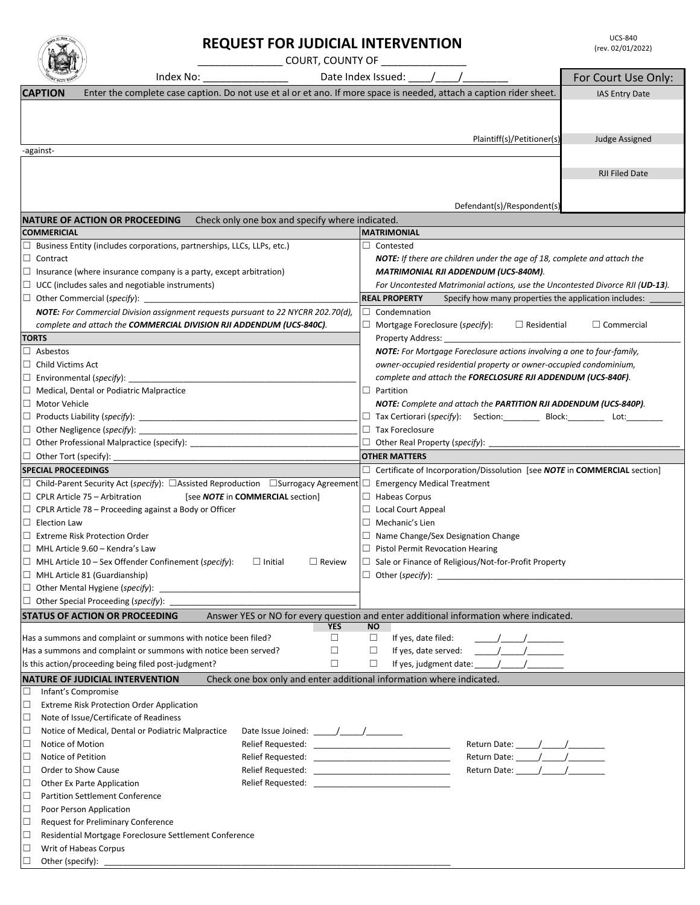| Unitio<br>c<br>purt |
|---------------------|
|---------------------|

☐ Poor Person Application

 $\Box$  Writ of Habeas Corpus<br> $\Box$  Other (specify): Other (specify):

☐ Request for Preliminary Conference

☐ Residential Mortgage Foreclosure Settlement Conference

|                                     |                                                                                                                                                               | <b>REQUEST FOR JUDICIAL INTERVENTION</b>                                                            |           |                                                                                                                                                                |                                                                                                  | <b>UCS-840</b><br>(rev. 02/01/2022) |  |  |
|-------------------------------------|---------------------------------------------------------------------------------------------------------------------------------------------------------------|-----------------------------------------------------------------------------------------------------|-----------|----------------------------------------------------------------------------------------------------------------------------------------------------------------|--------------------------------------------------------------------------------------------------|-------------------------------------|--|--|
|                                     | ______________________COURT, COUNTY OF ______________                                                                                                         |                                                                                                     |           |                                                                                                                                                                |                                                                                                  |                                     |  |  |
|                                     | Index No:                                                                                                                                                     |                                                                                                     |           | Date Index Issued: 1 /                                                                                                                                         |                                                                                                  | For Court Use Only:                 |  |  |
| <b>CAPTION</b>                      | Enter the complete case caption. Do not use et al or et ano. If more space is needed, attach a caption rider sheet.                                           |                                                                                                     |           |                                                                                                                                                                |                                                                                                  |                                     |  |  |
|                                     |                                                                                                                                                               |                                                                                                     |           |                                                                                                                                                                |                                                                                                  | <b>IAS Entry Date</b>               |  |  |
|                                     |                                                                                                                                                               |                                                                                                     |           |                                                                                                                                                                |                                                                                                  |                                     |  |  |
|                                     |                                                                                                                                                               |                                                                                                     |           |                                                                                                                                                                |                                                                                                  |                                     |  |  |
|                                     |                                                                                                                                                               |                                                                                                     |           |                                                                                                                                                                | Plaintiff(s)/Petitioner(s)                                                                       | Judge Assigned                      |  |  |
| -against-                           |                                                                                                                                                               |                                                                                                     |           |                                                                                                                                                                |                                                                                                  |                                     |  |  |
|                                     |                                                                                                                                                               |                                                                                                     |           |                                                                                                                                                                |                                                                                                  | <b>RJI Filed Date</b>               |  |  |
|                                     |                                                                                                                                                               |                                                                                                     |           |                                                                                                                                                                |                                                                                                  |                                     |  |  |
|                                     |                                                                                                                                                               |                                                                                                     |           |                                                                                                                                                                |                                                                                                  |                                     |  |  |
|                                     |                                                                                                                                                               |                                                                                                     |           |                                                                                                                                                                | Defendant(s)/Respondent(s)                                                                       |                                     |  |  |
|                                     | NATURE OF ACTION OR PROCEEDING                                                                                                                                | Check only one box and specify where indicated.                                                     |           |                                                                                                                                                                |                                                                                                  |                                     |  |  |
| <b>COMMERICIAL</b>                  |                                                                                                                                                               |                                                                                                     |           | <b>MATRIMONIAL</b>                                                                                                                                             |                                                                                                  |                                     |  |  |
| $\Box$ Contract                     | $\Box$ Business Entity (includes corporations, partnerships, LLCs, LLPs, etc.)                                                                                |                                                                                                     |           | $\Box$ Contested                                                                                                                                               |                                                                                                  |                                     |  |  |
|                                     | $\Box$ Insurance (where insurance company is a party, except arbitration)                                                                                     |                                                                                                     |           | <b>NOTE:</b> If there are children under the age of 18, complete and attach the<br><b>MATRIMONIAL RJI ADDENDUM (UCS-840M).</b>                                 |                                                                                                  |                                     |  |  |
|                                     | $\Box$ UCC (includes sales and negotiable instruments)                                                                                                        |                                                                                                     |           |                                                                                                                                                                |                                                                                                  |                                     |  |  |
|                                     | $\Box$ Other Commercial (specify):                                                                                                                            |                                                                                                     |           | For Uncontested Matrimonial actions, use the Uncontested Divorce RJI (UD-13).<br><b>REAL PROPERTY</b><br>Specify how many properties the application includes: |                                                                                                  |                                     |  |  |
|                                     | NOTE: For Commercial Division assignment requests pursuant to 22 NYCRR 202.70(d),                                                                             |                                                                                                     |           | $\Box$ Condemnation                                                                                                                                            |                                                                                                  |                                     |  |  |
|                                     | complete and attach the COMMERCIAL DIVISION RJI ADDENDUM (UCS-840C).                                                                                          |                                                                                                     |           | Mortgage Foreclosure (specify):                                                                                                                                | $\Box$ Residential                                                                               | $\Box$ Commercial                   |  |  |
| <b>TORTS</b>                        |                                                                                                                                                               |                                                                                                     |           | Property Address:                                                                                                                                              |                                                                                                  |                                     |  |  |
| $\Box$ Asbestos                     |                                                                                                                                                               |                                                                                                     |           |                                                                                                                                                                | NOTE: For Mortgage Foreclosure actions involving a one to four-family,                           |                                     |  |  |
| $\Box$ Child Victims Act            |                                                                                                                                                               |                                                                                                     |           |                                                                                                                                                                | owner-occupied residential property or owner-occupied condominium,                               |                                     |  |  |
|                                     |                                                                                                                                                               |                                                                                                     |           |                                                                                                                                                                | complete and attach the <b>FORECLOSURE RJI ADDENDUM (UCS-840F)</b> .                             |                                     |  |  |
|                                     | $\Box$ Medical, Dental or Podiatric Malpractice                                                                                                               |                                                                                                     |           | $\Box$ Partition                                                                                                                                               |                                                                                                  |                                     |  |  |
| □ Motor Vehicle                     |                                                                                                                                                               |                                                                                                     |           |                                                                                                                                                                | NOTE: Complete and attach the PARTITION RJI ADDENDUM (UCS-840P).                                 |                                     |  |  |
|                                     |                                                                                                                                                               |                                                                                                     |           |                                                                                                                                                                | □ Tax Certiorari (specify): Section: _________ Block: ________ Lot: ________                     |                                     |  |  |
|                                     |                                                                                                                                                               |                                                                                                     |           | $\Box$ Tax Foreclosure                                                                                                                                         |                                                                                                  |                                     |  |  |
|                                     | □ Other Professional Malpractice (specify): ___________________________________                                                                               |                                                                                                     |           |                                                                                                                                                                |                                                                                                  |                                     |  |  |
| $\Box$ Other Tort (specify): $\Box$ |                                                                                                                                                               |                                                                                                     |           | <b>OTHER MATTERS</b>                                                                                                                                           |                                                                                                  |                                     |  |  |
| <b>SPECIAL PROCEEDINGS</b>          |                                                                                                                                                               |                                                                                                     |           |                                                                                                                                                                | $\Box$ Certificate of Incorporation/Dissolution [see <b>NOTE</b> in <b>COMMERCIAL</b> section]   |                                     |  |  |
|                                     | $\Box$ Child-Parent Security Act (specify): $\Box$ Assisted Reproduction $\Box$ Surrogacy Agreement                                                           |                                                                                                     |           | $\Box$ Emergency Medical Treatment                                                                                                                             |                                                                                                  |                                     |  |  |
|                                     | $\Box$ CPLR Article 75 – Arbitration                                                                                                                          | [see NOTE in COMMERCIAL section]                                                                    |           | $\Box$ Habeas Corpus                                                                                                                                           |                                                                                                  |                                     |  |  |
|                                     | $\Box$ CPLR Article 78 – Proceeding against a Body or Officer                                                                                                 |                                                                                                     |           | $\Box$ Local Court Appeal                                                                                                                                      |                                                                                                  |                                     |  |  |
| $\Box$ Election Law                 |                                                                                                                                                               |                                                                                                     |           | $\Box$ Mechanic's Lien                                                                                                                                         |                                                                                                  |                                     |  |  |
|                                     | $\Box$ Extreme Risk Protection Order                                                                                                                          |                                                                                                     |           |                                                                                                                                                                | $\Box$ Name Change/Sex Designation Change                                                        |                                     |  |  |
|                                     | $\Box$ MHL Article 9.60 – Kendra's Law                                                                                                                        |                                                                                                     |           |                                                                                                                                                                | $\Box$ Pistol Permit Revocation Hearing                                                          |                                     |  |  |
|                                     | $\Box$ MHL Article 10 – Sex Offender Confinement (specify):<br>$\Box$ Initial<br>$\Box$ Review<br>$\Box$ Sale or Finance of Religious/Not-for-Profit Property |                                                                                                     |           |                                                                                                                                                                |                                                                                                  |                                     |  |  |
|                                     | $\Box$ MHL Article 81 (Guardianship)                                                                                                                          |                                                                                                     |           |                                                                                                                                                                | $\Box$ Other (specify): $\Box$                                                                   |                                     |  |  |
|                                     | $\Box$ Other Mental Hygiene (specify):                                                                                                                        |                                                                                                     |           |                                                                                                                                                                |                                                                                                  |                                     |  |  |
|                                     | $\Box$ Other Special Proceeding (specify): _                                                                                                                  |                                                                                                     |           |                                                                                                                                                                |                                                                                                  |                                     |  |  |
|                                     | <b>STATUS OF ACTION OR PROCEEDING</b>                                                                                                                         | Answer YES or NO for every question and enter additional information where indicated.<br><b>YES</b> | <b>NO</b> |                                                                                                                                                                |                                                                                                  |                                     |  |  |
|                                     | Has a summons and complaint or summons with notice been filed?                                                                                                | □                                                                                                   | $\Box$    | If yes, date filed:                                                                                                                                            | $\frac{1}{2}$ . The set of $\frac{1}{2}$ , we set that $\frac{1}{2}$ , we set that $\frac{1}{2}$ |                                     |  |  |
|                                     | Has a summons and complaint or summons with notice been served?                                                                                               | $\Box$                                                                                              | □         | If yes, date served:                                                                                                                                           | $\frac{1}{2}$ $\frac{1}{2}$                                                                      |                                     |  |  |
|                                     | Is this action/proceeding being filed post-judgment?                                                                                                          | $\Box$                                                                                              | $\Box$    |                                                                                                                                                                | If yes, judgment date: \[\[\] \] \] \]                                                           |                                     |  |  |
|                                     | <b>NATURE OF JUDICIAL INTERVENTION</b>                                                                                                                        | Check one box only and enter additional information where indicated.                                |           |                                                                                                                                                                |                                                                                                  |                                     |  |  |
| □                                   | Infant's Compromise                                                                                                                                           |                                                                                                     |           |                                                                                                                                                                |                                                                                                  |                                     |  |  |
| □                                   | Extreme Risk Protection Order Application                                                                                                                     |                                                                                                     |           |                                                                                                                                                                |                                                                                                  |                                     |  |  |
| □                                   | Note of Issue/Certificate of Readiness                                                                                                                        |                                                                                                     |           |                                                                                                                                                                |                                                                                                  |                                     |  |  |
| $\Box$                              | Notice of Medical, Dental or Podiatric Malpractice                                                                                                            |                                                                                                     |           |                                                                                                                                                                |                                                                                                  |                                     |  |  |
| □<br>Notice of Motion               |                                                                                                                                                               |                                                                                                     |           |                                                                                                                                                                |                                                                                                  |                                     |  |  |
| □<br>Notice of Petition             |                                                                                                                                                               |                                                                                                     |           |                                                                                                                                                                |                                                                                                  |                                     |  |  |
| □                                   | Order to Show Cause                                                                                                                                           |                                                                                                     |           |                                                                                                                                                                | Return Date: _______/______/_________                                                            |                                     |  |  |
| □                                   | Other Ex Parte Application                                                                                                                                    |                                                                                                     |           |                                                                                                                                                                |                                                                                                  |                                     |  |  |
| □                                   | <b>Partition Settlement Conference</b>                                                                                                                        |                                                                                                     |           |                                                                                                                                                                |                                                                                                  |                                     |  |  |